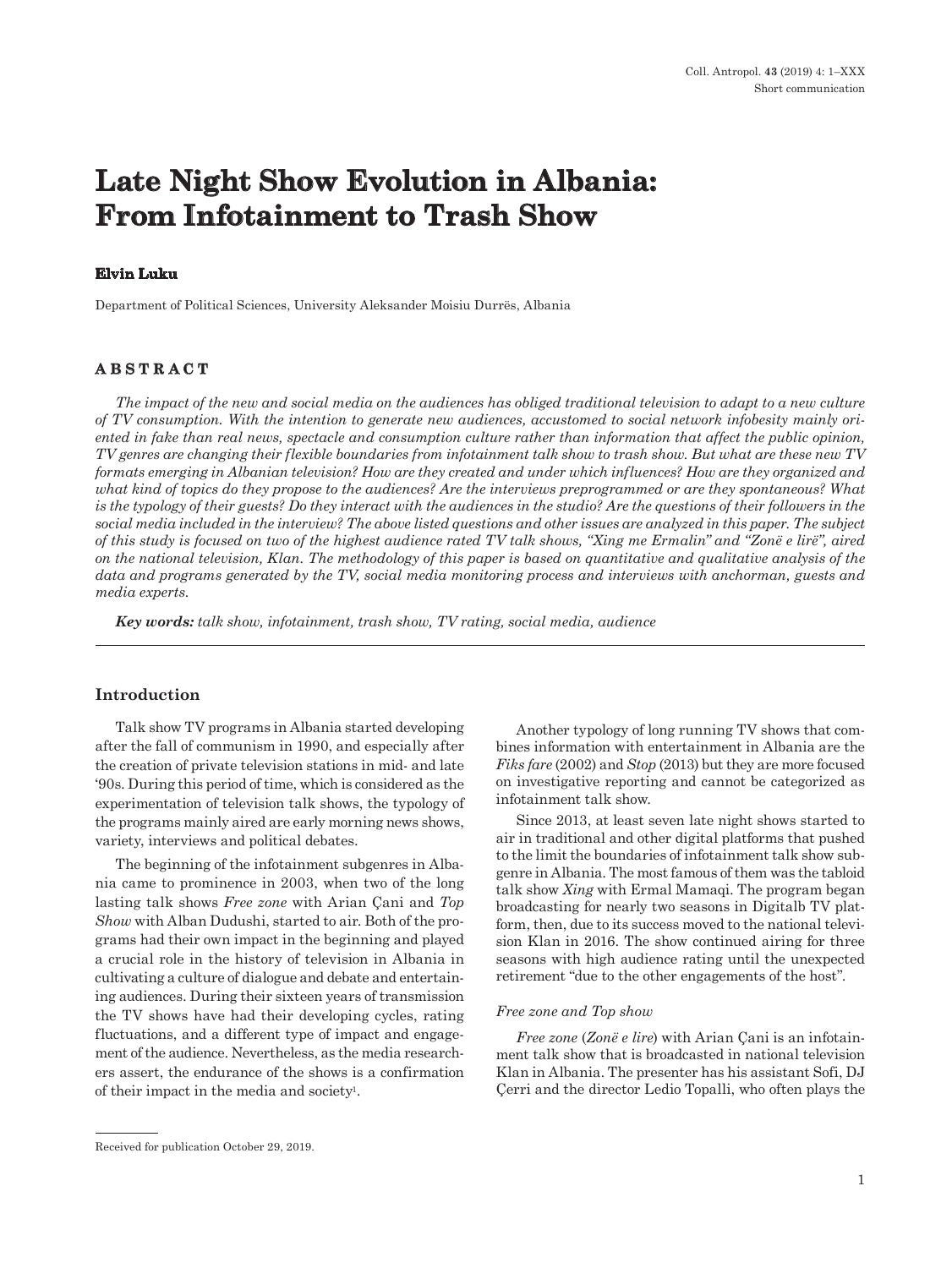# **Late Night Show Evolution in Albania: From Infotainment to Trash Show**

## **Elvin Luku**

Department of Political Sciences, University Aleksander Moisiu Durrës, Albania

## **ABSTRACT**

*The impact of the new and social media on the audiences has obliged traditional television to adapt to a new culture of TV consumption. With the intention to generate new audiences, accustomed to social network infobesity mainly oriented in fake than real news, spectacle and consumption culture rather than information that affect the public opinion, TV genres are changing their flexible boundaries from infotainment talk show to trash show. But what are these new TV formats emerging in Albanian television? How are they created and under which influences? How are they organized and what kind of topics do they propose to the audiences? Are the interviews preprogrammed or are they spontaneous? What is the typology of their guests? Do they interact with the audiences in the studio? Are the questions of their followers in the social media included in the interview? The above listed questions and other issues are analyzed in this paper. The subject of this study is focused on two of the highest audience rated TV talk shows, "Xing me Ermalin" and "Zonë e lirë", aired on the national television, Klan. The methodology of this paper is based on quantitative and qualitative analysis of the*  data and programs generated by the TV, social media monitoring process and interviews with anchorman, guests and *media experts.* 

*Key words: talk show, infotainment, trash show, TV rating, social media, audience* 

## **Introduction**

Talk show TV programs in Albania started developing after the fall of communism in 1990, and especially after the creation of private television stations in mid- and late '90s. During this period of time, which is considered as the experimentation of television talk shows, the typology of the programs mainly aired are early morning news shows, variety, interviews and political debates.

The beginning of the infotainment subgenres in Albania came to prominence in 2003, when two of the long lasting talk shows *Free zone* with Arian Çani and *Top Show* with Alban Dudushi, started to air. Both of the programs had their own impact in the beginning and played a crucial role in the history of television in Albania in cultivating a culture of dialogue and debate and entertaining audiences. During their sixteen years of transmission the TV shows have had their developing cycles, rating fluctuations, and a different type of impact and engagement of the audience. Nevertheless, as the media researchers assert, the endurance of the shows is a confirmation of their impact in the media and society1.

Another typology of long running TV shows that combines information with entertainment in Albania are the *Fiks fare* (2002) and *Stop* (2013) but they are more focused on investigative reporting and cannot be categorized as infotainment talk show.

Since 2013, at least seven late night shows started to air in traditional and other digital platforms that pushed to the limit the boundaries of infotainment talk show subgenre in Albania. The most famous of them was the tabloid talk show *Xing* with Ermal Mamaqi. The program began broadcasting for nearly two seasons in Digitalb TV platform, then, due to its success moved to the national television Klan in 2016. The show continued airing for three seasons with high audience rating until the unexpected retirement "due to the other engagements of the host".

#### *Free zone and Top show*

*Free zone* (*Zonë e lire*) with Arian Çani is an infotainment talk show that is broadcasted in national television Klan in Albania. The presenter has his assistant Sofi, DJ Çerri and the director Ledio Topalli, who often plays the

Received for publication October 29, 2019.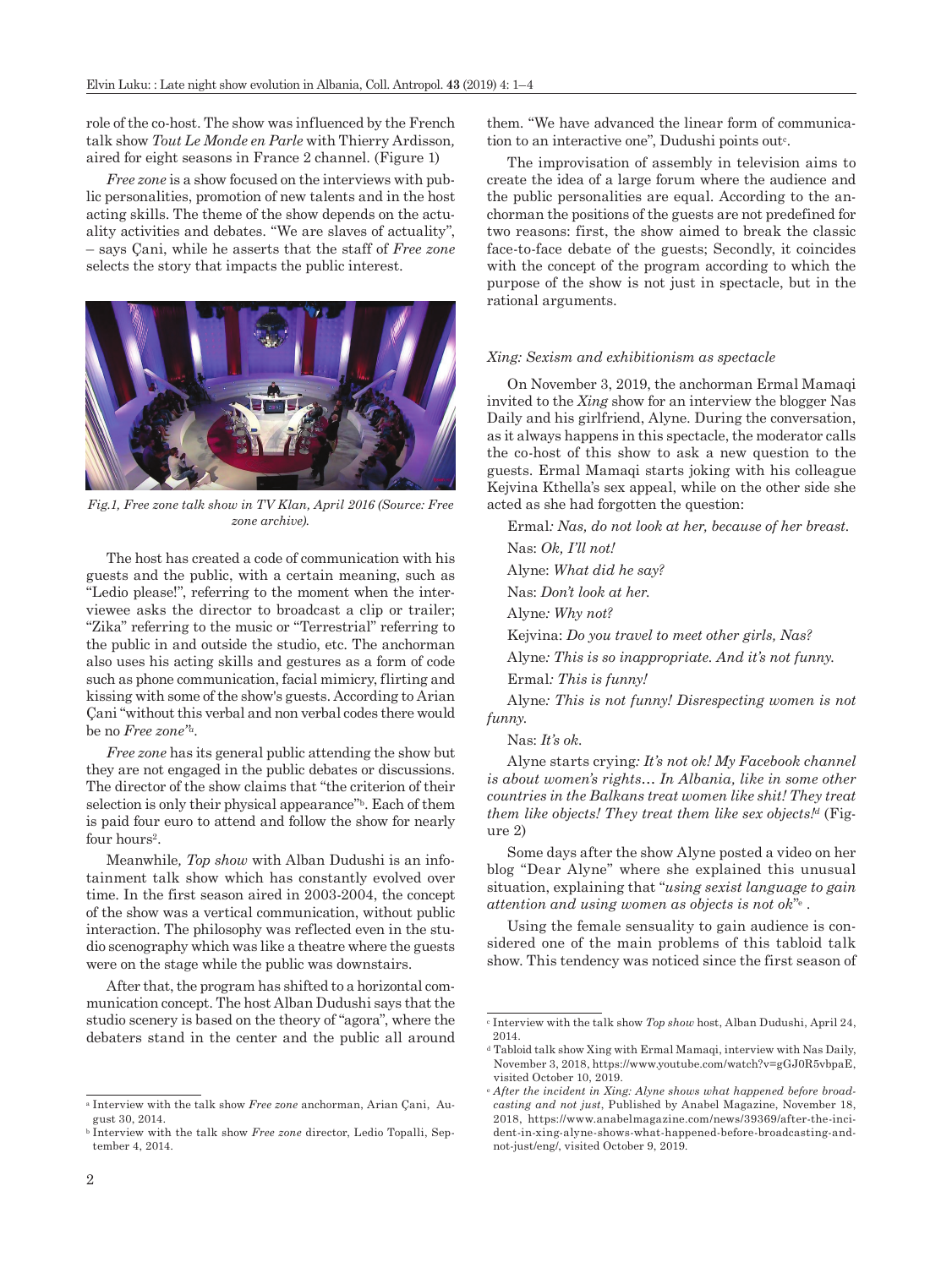role of the co-host. The show was influenced by the French talk show *Tout Le Monde en Parle* with Thierry Ardisson*,*  aired for eight seasons in France 2 channel. (Figure 1)

*Free zone* is a show focused on the interviews with public personalities, promotion of new talents and in the host acting skills. The theme of the show depends on the actuality activities and debates. "We are slaves of actuality", – says Çani, while he asserts that the staff of *Free zone*  selects the story that impacts the public interest.



*Fig.1, Free zone talk show in TV Klan, April 2016 (Source: Free zone archive).*

The host has created a code of communication with his guests and the public, with a certain meaning, such as "Ledio please!", referring to the moment when the interviewee asks the director to broadcast a clip or trailer; "Zika" referring to the music or "Terrestrial" referring to the public in and outside the studio, etc. The anchorman also uses his acting skills and gestures as a form of code such as phone communication, facial mimicry, flirting and kissing with some of the show's guests. According to Arian Çani "without this verbal and non verbal codes there would be no *Free zone"a.*

*Free zone* has its general public attending the show but they are not engaged in the public debates or discussions. The director of the show claims that "the criterion of their selection is only their physical appearance"<sup>b</sup>. Each of them is paid four euro to attend and follow the show for nearly four hours<sup>2</sup>.

Meanwhile*, Top show* with Alban Dudushi is an infotainment talk show which has constantly evolved over time. In the first season aired in 2003-2004, the concept of the show was a vertical communication, without public interaction. The philosophy was reflected even in the studio scenography which was like a theatre where the guests were on the stage while the public was downstairs.

After that, the program has shifted to a horizontal communication concept. The host Alban Dudushi says that the studio scenery is based on the theory of "agora", where the debaters stand in the center and the public all around

them. "We have advanced the linear form of communication to an interactive one", Dudushi points out<sup>c</sup>.

The improvisation of assembly in television aims to create the idea of a large forum where the audience and the public personalities are equal. According to the anchorman the positions of the guests are not predefined for two reasons: first, the show aimed to break the classic face-to-face debate of the guests; Secondly, it coincides with the concept of the program according to which the purpose of the show is not just in spectacle, but in the rational arguments.

#### *Xing: Sexism and exhibitionism as spectacle*

On November 3, 2019, the anchorman Ermal Mamaqi invited to the *Xing* show for an interview the blogger Nas Daily and his girlfriend, Alyne. During the conversation, as it always happens in this spectacle, the moderator calls the co-host of this show to ask a new question to the guests. Ermal Mamaqi starts joking with his colleague Kejvina Kthella's sex appeal, while on the other side she acted as she had forgotten the question:

Ermal*: Nas, do not look at her, because of her breast.* Nas: *Ok, I'll not!*

Alyne: *What did he say?*

Nas: *Don't look at her.*

Alyne*: Why not?*

Kejvina: *Do you travel to meet other girls, Nas?*

Alyne*: This is so inappropriate. And it's not funny.*

Ermal*: This is funny!*

Alyne*: This is not funny! Disrespecting women is not funny.*

Nas: *It's ok.*

Alyne starts crying*: It's not ok! My Facebook channel is about women's rights… In Albania, like in some other countries in the Balkans treat women like shit! They treat them like objects! They treat them like sex objects!d* (Figure 2)

Some days after the show Alyne posted a video on her blog "Dear Alyne" where she explained this unusual situation, explaining that "*using sexist language to gain attention and using women as objects is not ok*"e .

Using the female sensuality to gain audience is considered one of the main problems of this tabloid talk show. This tendency was noticed since the first season of

<sup>a</sup> Interview with the talk show *Free zone* anchorman, Arian Çani, August 30, 2014.

<sup>b</sup> Interview with the talk show *Free zone* director, Ledio Topalli, September 4, 2014.

<sup>c</sup> Interview with the talk show *Top show* host, Alban Dudushi, April 24, 2014.

<sup>d</sup> Tabloid talk show Xing with Ermal Mamaqi, interview with Nas Daily, November 3, 2018, https://www.youtube.com/watch?v=gGJ0R5vbpaE, visited October 10, 2019.

<sup>e</sup> *After the incident in Xing: Alyne shows what happened before broadcasting and not just*, Published by Anabel Magazine, November 18, 2018, [https://www.anabelmagazine.com/news/39369/after-the-inci](https://www.anabelmagazine.com/news/39369/after-the-incident-in-xing-alyne-shows-what-happened-before-broadcasting-and-not-just/eng/)[dent-in-xing-alyne-shows-what-happened-before-broadcasting-and](https://www.anabelmagazine.com/news/39369/after-the-incident-in-xing-alyne-shows-what-happened-before-broadcasting-and-not-just/eng/)[not-just/eng/](https://www.anabelmagazine.com/news/39369/after-the-incident-in-xing-alyne-shows-what-happened-before-broadcasting-and-not-just/eng/), visited October 9, 2019.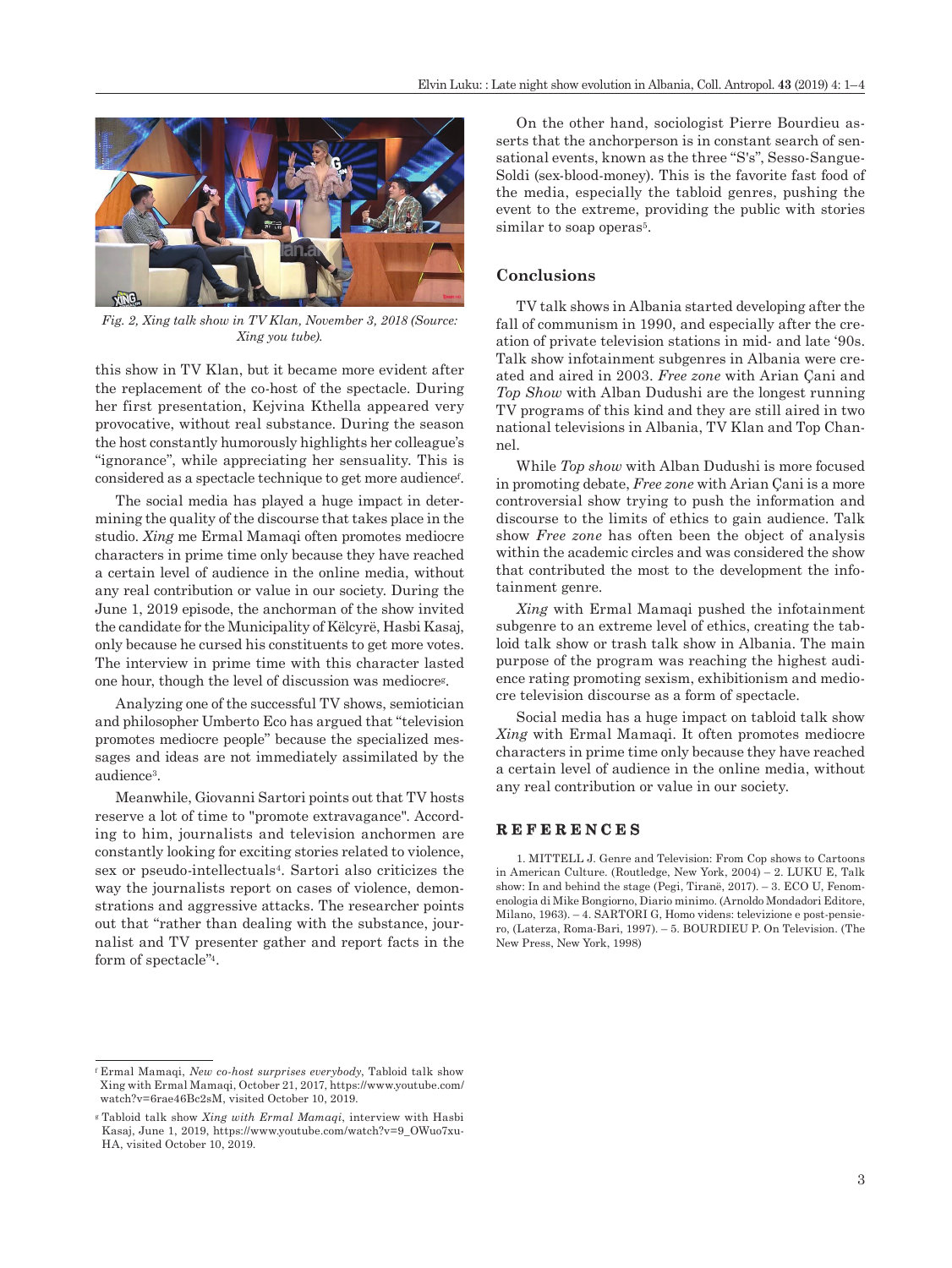

*Fig. 2, Xing talk show in TV Klan, November 3, 2018 (Source: Xing you tube).*

this show in TV Klan, but it became more evident after the replacement of the co-host of the spectacle. During her first presentation, Kejvina Kthella appeared very provocative, without real substance. During the season the host constantly humorously highlights her colleague's "ignorance", while appreciating her sensuality. This is considered as a spectacle technique to get more audiencef .

The social media has played a huge impact in determining the quality of the discourse that takes place in the studio. *Xing* me Ermal Mamaqi often promotes mediocre characters in prime time only because they have reached a certain level of audience in the online media, without any real contribution or value in our society. During the June 1, 2019 episode, the anchorman of the show invited the candidate for the Municipality of Këlcyrë, Hasbi Kasaj, only because he cursed his constituents to get more votes. The interview in prime time with this character lasted one hour, though the level of discussion was mediocreg.

Analyzing one of the successful TV shows, semiotician and philosopher Umberto Eco has argued that "television promotes mediocre people" because the specialized messages and ideas are not immediately assimilated by the audience3.

Meanwhile, Giovanni Sartori points out that TV hosts reserve a lot of time to "promote extravagance". According to him, journalists and television anchormen are constantly looking for exciting stories related to violence, sex or pseudo-intellectuals4. Sartori also criticizes the way the journalists report on cases of violence, demonstrations and aggressive attacks. The researcher points out that "rather than dealing with the substance, journalist and TV presenter gather and report facts in the form of spectacle"4.

<sup>f</sup> Ermal Mamaqi, *New co-host surprises everybody*, Tabloid talk show Xing with Ermal Mamaqi, October 21, 2017, [https://www.youtube.com/](https://www.youtube.com/watch?v=6rae46Bc2sM) [watch?v=6rae46Bc2sM](https://www.youtube.com/watch?v=6rae46Bc2sM), visited October 10, 2019.

On the other hand, sociologist Pierre Bourdieu asserts that the anchorperson is in constant search of sensational events, known as the three "S's", Sesso-Sangue-Soldi (sex-blood-money). This is the favorite fast food of the media, especially the tabloid genres, pushing the event to the extreme, providing the public with stories similar to soap operas<sup>5</sup>.

## **Conclusions**

TV talk shows in Albania started developing after the fall of communism in 1990, and especially after the creation of private television stations in mid- and late '90s. Talk show infotainment subgenres in Albania were created and aired in 2003. *Free zone* with Arian Çani and *Top Show* with Alban Dudushi are the longest running TV programs of this kind and they are still aired in two national televisions in Albania, TV Klan and Top Channel.

While *Top show* with Alban Dudushi is more focused in promoting debate, *Free zone* with Arian Çani is a more controversial show trying to push the information and discourse to the limits of ethics to gain audience. Talk show *Free zone* has often been the object of analysis within the academic circles and was considered the show that contributed the most to the development the infotainment genre.

*Xing* with Ermal Mamaqi pushed the infotainment subgenre to an extreme level of ethics, creating the tabloid talk show or trash talk show in Albania. The main purpose of the program was reaching the highest audience rating promoting sexism, exhibitionism and mediocre television discourse as a form of spectacle.

Social media has a huge impact on tabloid talk show *Xing* with Ermal Mamaqi. It often promotes mediocre characters in prime time only because they have reached a certain level of audience in the online media, without any real contribution or value in our society.

## **REFERENCES**

1. MITTELL J. Genre and Television: From Cop shows to Cartoons in American Culture. (Routledge, New York, 2004) – 2. LUKU E, Talk show: In and behind the stage (Pegi, Tiranë, 2017). – 3. ECO U, Fenomenologia di Mike Bongiorno, Diario minimo. (Arnoldo Mondadori Editore, Milano, 1963). – 4. SARTORI G, Homo videns: televizione e post-pensiero, (Laterza, Roma-Bari, 1997). – 5. BOURDIEU P. On Television. (The New Press, New York, 1998)

<sup>g</sup> Tabloid talk show *Xing with Ermal Mamaqi*, interview with Hasbi Kasaj, June 1, 2019, [https://www.youtube.com/watch?v=9\\_OWuo7xu-](https://www.youtube.com/watch?v=9_OWuo7xuHA)[HA](https://www.youtube.com/watch?v=9_OWuo7xuHA), visited October 10, 2019.